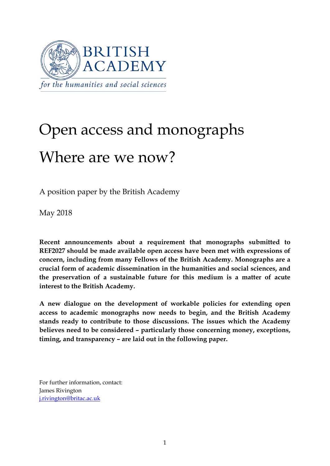

# Open access and monographs Where are we now?

A position paper by the British Academy

May 2018

**Recent announcements about a requirement that monographs submitted to REF2027 should be made available open access have been met with expressions of concern, including from many Fellows of the British Academy. Monographs are a crucial form of academic dissemination in the humanities and social sciences, and the preservation of a sustainable future for this medium is a matter of acute interest to the British Academy.** 

**A new dialogue on the development of workable policies for extending open access to academic monographs now needs to begin, and the British Academy stands ready to contribute to those discussions. The issues which the Academy believes need to be considered – particularly those concerning money, exceptions, timing, and transparency – are laid out in the following paper.**

For further information, contact: James Rivington j.rivington@britac.ac.uk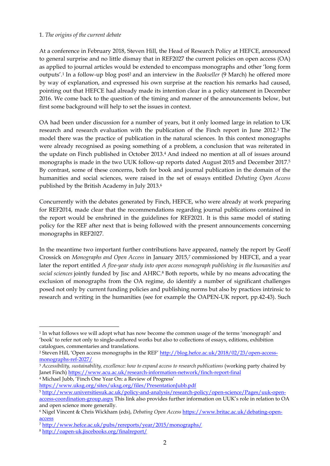#### 1. *The origins of the current debate*

At a conference in February 2018, Steven Hill, the Head of Research Policy at HEFCE, announced to general surprise and no little dismay that in REF2027 the current policies on open access (OA) as applied to journal articles would be extended to encompass monographs and other 'long form outputs'.1 In a follow-up blog post2 and an interview in the *Bookseller* (9 March) he offered more by way of explanation, and expressed his own surprise at the reaction his remarks had caused, pointing out that HEFCE had already made its intention clear in a policy statement in December 2016. We come back to the question of the timing and manner of the announcements below, but first some background will help to set the issues in context.

OA had been under discussion for a number of years, but it only loomed large in relation to UK research and research evaluation with the publication of the Finch report in June 2012.3 The model there was the practice of publication in the natural sciences. In this context monographs were already recognised as posing something of a problem, a conclusion that was reiterated in the update on Finch published in October 2013.4 And indeed no mention at all of issues around monographs is made in the two UUK follow-up reports dated August 2015 and December 2017.5 By contrast, some of these concerns, both for book and journal publication in the domain of the humanities and social sciences, were raised in the set of essays entitled *Debating Open Access* published by the British Academy in July 2013.6

Concurrently with the debates generated by Finch, HEFCE, who were already at work preparing for REF2014, made clear that the recommendations regarding journal publications contained in the report would be enshrined in the guidelines for REF2021. It is this same model of stating policy for the REF after next that is being followed with the present announcements concerning monographs in REF2027.

In the meantime two important further contributions have appeared, namely the report by Geoff Crossick on *Monographs and Open Access* in January 2015,7 commissioned by HEFCE, and a year later the report entitled *A five-year study into open access monograph publishing in the humanities and social sciences* jointly funded by Jisc and AHRC.8 Both reports, while by no means advocating the exclusion of monographs from the OA regime, do identify a number of significant challenges posed not only by current funding policies and publishing norms but also by practices intrinsic to research and writing in the humanities (see for example the OAPEN-UK report, pp.42-43). Such

4 Michael Jubb, 'Finch One Year On: a Review of Progress' https://www.uksg.org/sites/uksg.org/files/PresentationJubb.pdf

<sup>1</sup> In what follows we will adopt what has now become the common usage of the terms 'monograph' and 'book' to refer not only to single-authored works but also to collections of essays, editions, exhibition

catalogues, commentaries and translations.<br><sup>2</sup> Steven Hill, 'Open access monographs in the REF' http://blog.hefce.ac.uk/2018/02/23/open-accessmonographs-ref-2027/

<sup>3</sup> *Accessibility, sustainability, excellence: how to expand access to research publications* (working party chaired by Janet Finch) https://www.acu.ac.uk/research-information-network/finch-report-final

<sup>5</sup> http://www.universitiesuk.ac.uk/policy-and-analysis/research-policy/open-science/Pages/uuk-openaccess-coordination-group.aspx This link also provides further information on UUK's role in relation to OA and open science more generally.

<sup>6</sup> Nigel Vincent & Chris Wickham (eds), *Debating Open Access* https://www.britac.ac.uk/debating-openaccess

<sup>7</sup> http://www.hefce.ac.uk/pubs/rereports/year/2015/monographs/

<sup>8</sup> http://oapen-uk.jiscebooks.org/finalreport/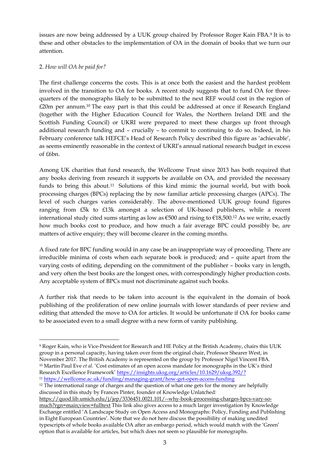issues are now being addressed by a UUK group chaired by Professor Roger Kain FBA.9 It is to these and other obstacles to the implementation of OA in the domain of books that we turn our attention.

# 2. *How will OA be paid for?*

The first challenge concerns the costs. This is at once both the easiest and the hardest problem involved in the transition to OA for books. A recent study suggests that to fund OA for threequarters of the monographs likely to be submitted to the next REF would cost in the region of £20m per annum.10 The easy part is that this could be addressed at once if Research England (together with the Higher Education Council for Wales, the Northern Ireland DfE and the Scottish Funding Council) or UKRI were prepared to meet these charges up front through additional research funding and – crucially – to commit to continuing to do so. Indeed, in his February conference talk HEFCE's Head of Research Policy described this figure as 'achievable', as seems eminently reasonable in the context of UKRI's annual national research budget in excess of £6bn.

Among UK charities that fund research, the Wellcome Trust since 2013 has both required that any books deriving from research it supports be available on OA, and provided the necessary funds to bring this about.11 Solutions of this kind mimic the journal world, but with book processing charges (BPCs) replacing the by now familiar article processing charges (APCs). The level of such charges varies considerably. The above-mentioned UUK group found figures ranging from £5k to £13k amongst a selection of UK-based publishers, while a recent international study cited sums starting as low as  $\epsilon$ 500 and rising to  $\epsilon$ 18,500.<sup>12</sup> As we write, exactly how much books cost to produce, and how much a fair average BPC could possibly be, are matters of active enquiry; they will become clearer in the coming months.

A fixed rate for BPC funding would in any case be an inappropriate way of proceeding. There are irreducible minima of costs when each separate book is produced; and – quite apart from the varying costs of editing, depending on the commitment of the publisher – books vary in length, and very often the best books are the longest ones, with correspondingly higher production costs. Any acceptable system of BPCs must not discriminate against such books.

A further risk that needs to be taken into account is the equivalent in the domain of book publishing of the proliferation of new online journals with lower standards of peer review and editing that attended the move to OA for articles. It would be unfortunate if OA for books came to be associated even to a small degree with a new form of vanity publishing.

<sup>&</sup>lt;u>.</u> 9 Roger Kain, who is Vice-President for Research and HE Policy at the British Academy, chairs this UUK group in a personal capacity, having taken over from the original chair, Professor Shearer West, in November 2017. The British Academy is represented on the group by Professor Nigel Vincent FBA. 10 Martin Paul Eve *et al.* 'Cost estimates of an open access mandate for monographs in the UK's third Research Excellence Framework' https://insights.uksg.org/articles/10.1629/uksg.392/?

<sup>11</sup> https://wellcome.ac.uk/funding/managing-grant/how-get-open-access-funding

<sup>&</sup>lt;sup>12</sup> The international range of charges and the question of what one gets for the money are helpfully discussed in this study by Frances Pinter, founder of Knowledge Unlatched:

https://quod.lib.umich.edu/j/jep/3336451.0021.101/--why-book-processing-charges-bpcs-vary-somuch?rgn=main;view=fulltext This link also gives access to a much larger investigation by Knowledge Exchange entitled 'A Landscape Study on Open Access and Monographs: Policy, Funding and Publishing in Eight European Countries'. Note that we do not here discuss the possibility of making unedited typescripts of whole books available OA after an embargo period, which would match with the 'Green' option that is available for articles, but which does not seem so plausible for monographs.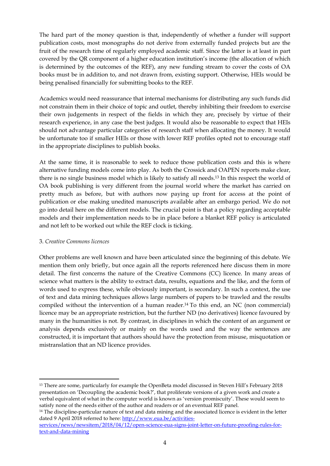The hard part of the money question is that, independently of whether a funder will support publication costs, most monographs do not derive from externally funded projects but are the fruit of the research time of regularly employed academic staff. Since the latter is at least in part covered by the QR component of a higher education institution's income (the allocation of which is determined by the outcomes of the REF), any new funding stream to cover the costs of OA books must be in addition to, and not drawn from, existing support. Otherwise, HEIs would be being penalised financially for submitting books to the REF.

Academics would need reassurance that internal mechanisms for distributing any such funds did not constrain them in their choice of topic and outlet, thereby inhibiting their freedom to exercise their own judgements in respect of the fields in which they are, precisely by virtue of their research experience, in any case the best judges. It would also be reasonable to expect that HEIs should not advantage particular categories of research staff when allocating the money. It would be unfortunate too if smaller HEIs or those with lower REF profiles opted not to encourage staff in the appropriate disciplines to publish books.

At the same time, it is reasonable to seek to reduce those publication costs and this is where alternative funding models come into play. As both the Crossick and OAPEN reports make clear, there is no single business model which is likely to satisfy all needs.13 In this respect the world of OA book publishing is very different from the journal world where the market has carried on pretty much as before, but with authors now paying up front for access at the point of publication or else making unedited manuscripts available after an embargo period. We do not go into detail here on the different models. The crucial point is that a policy regarding acceptable models and their implementation needs to be in place before a blanket REF policy is articulated and not left to be worked out while the REF clock is ticking.

# 3. *Creative Commons licences*

<u>.</u>

Other problems are well known and have been articulated since the beginning of this debate. We mention them only briefly, but once again all the reports referenced here discuss them in more detail. The first concerns the nature of the Creative Commons (CC) licence. In many areas of science what matters is the ability to extract data, results, equations and the like, and the form of words used to express these, while obviously important, is secondary. In such a context, the use of text and data mining techniques allows large numbers of papers to be trawled and the results compiled without the intervention of a human reader.14 To this end, an NC (non commercial) licence may be an appropriate restriction, but the further ND (no derivatives) licence favoured by many in the humanities is not. By contrast, in disciplines in which the content of an argument or analysis depends exclusively or mainly on the words used and the way the sentences are constructed, it is important that authors should have the protection from misuse, misquotation or mistranslation that an ND licence provides.

<sup>&</sup>lt;sup>13</sup> There are some, particularly for example the OpenBeta model discussed in Steven Hill's February 2018 presentation on 'Decoupling the academic book?', that proliferate versions of a given work and create a verbal equivalent of what in the computer world is known as 'version promiscuity'. These would seem to satisfy none of the needs either of the author and readers or of an eventual REF panel. 14 The discipline-particular nature of text and data mining and the associated licence is evident in the letter

dated 9 April 2018 referred to here: http://www.eua.be/activitiesservices/news/newsitem/2018/04/12/open-science-eua-signs-joint-letter-on-future-proofing-rules-fortext-and-data-mining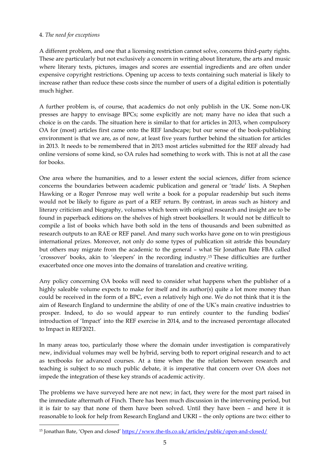# 4. *The need for exceptions*

-

A different problem, and one that a licensing restriction cannot solve, concerns third-party rights. These are particularly but not exclusively a concern in writing about literature, the arts and music where literary texts, pictures, images and scores are essential ingredients and are often under expensive copyright restrictions. Opening up access to texts containing such material is likely to increase rather than reduce these costs since the number of users of a digital edition is potentially much higher.

A further problem is, of course, that academics do not only publish in the UK. Some non-UK presses are happy to envisage BPCs; some explicitly are not; many have no idea that such a choice is on the cards. The situation here is similar to that for articles in 2013, when compulsory OA for (most) articles first came onto the REF landscape; but our sense of the book-publishing environment is that we are, as of now, at least five years further behind the situation for articles in 2013. It needs to be remembered that in 2013 most articles submitted for the REF already had online versions of some kind, so OA rules had something to work with. This is not at all the case for books.

One area where the humanities, and to a lesser extent the social sciences, differ from science concerns the boundaries between academic publication and general or 'trade' lists. A Stephen Hawking or a Roger Penrose may well write a book for a popular readership but such items would not be likely to figure as part of a REF return. By contrast, in areas such as history and literary criticism and biography, volumes which teem with original research and insight are to be found in paperback editions on the shelves of high street booksellers. It would not be difficult to compile a list of books which have both sold in the tens of thousands and been submitted as research outputs to an RAE or REF panel. And many such works have gone on to win prestigious international prizes. Moreover, not only do some types of publication sit astride this boundary but others may migrate from the academic to the general – what Sir Jonathan Bate FBA called 'crossover' books, akin to 'sleepers' in the recording industry.15 These difficulties are further exacerbated once one moves into the domains of translation and creative writing.

Any policy concerning OA books will need to consider what happens when the publisher of a highly saleable volume expects to make for itself and its author(s) quite a lot more money than could be received in the form of a BPC, even a relatively high one. We do not think that it is the aim of Research England to undermine the ability of one of the UK's main creative industries to prosper. Indeed, to do so would appear to run entirely counter to the funding bodies' introduction of 'Impact' into the REF exercise in 2014, and to the increased percentage allocated to Impact in REF2021.

In many areas too, particularly those where the domain under investigation is comparatively new, individual volumes may well be hybrid, serving both to report original research and to act as textbooks for advanced courses. At a time when the the relation between research and teaching is subject to so much public debate, it is imperative that concern over OA does not impede the integration of these key strands of academic activity.

The problems we have surveyed here are not new; in fact, they were for the most part raised in the immediate aftermath of Finch. There has been much discussion in the intervening period, but it is fair to say that none of them have been solved. Until they have been – and here it is reasonable to look for help from Research England and UKRI – the only options are two: either to

<sup>15</sup> Jonathan Bate, 'Open and closed' https://www.the-tls.co.uk/articles/public/open-and-closed/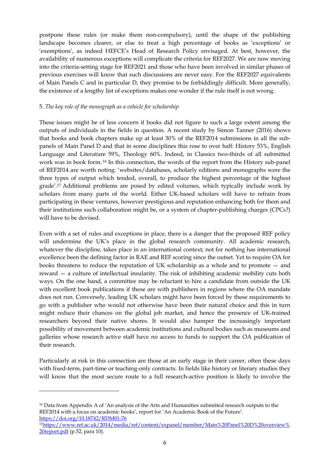postpone these rules (or make them non-compulsory), until the shape of the publishing landscape becomes clearer, or else to treat a high percentage of books as 'exceptions' or 'exemptions', as indeed HEFCE's Head of Research Policy envisaged. At best, however, the availability of numerous exceptions will complicate the criteria for REF2027. We are now moving into the criteria-setting stage for REF2021 and those who have been involved in similar phases of previous exercises will know that such discussions are never easy. For the REF2027 equivalents of Main Panels C and in particular D, they promise to be forbiddingly difficult. More generally, the existence of a lengthy list of exceptions makes one wonder if the rule itself is not wrong.

# 5. *The key role of the monograph as a vehicle for scholarship*

These issues might be of less concern if books did not figure to such a large extent among the outputs of individuals in the fields in question. A recent study by Simon Tanner (2016) shows that books and book chapters make up at least 30% of the REF2014 submissions in all the subpanels of Main Panel D and that in some disciplines this rose to over half: History 53%, English Language and Literature 59%, Theology 60%. Indeed, in Classics two-thirds of all submitted work was in book form. 16 In this connection, the words of the report from the History sub-panel of REF2014 are worth noting: 'websites/databases, scholarly editions and monographs were the three types of output which tended, overall, to produce the highest percentage of the highest grade'.17 Additional problems are posed by edited volumes, which typically include work by scholars from many parts of the world. Either UK-based scholars will have to refrain from participating in these ventures, however prestigious and reputation enhancing both for them and their institutions such collaboration might be, or a system of chapter-publishing charges (CPCs?) will have to be devised.

Even with a set of rules and exceptions in place, there is a danger that the proposed REF policy will undermine the UK's place in the global research community. All academic research, whatever the discipline, takes place in an international context; not for nothing has international excellence been the defining factor in RAE and REF scoring since the outset. Yet to require OA for books threatens to reduce the reputation of UK scholarship as a whole and to promote — and reward — a culture of intellectual insularity. The risk of inhibiting academic mobility cuts both ways. On the one hand, a committee may be reluctant to hire a candidate from outside the UK with excellent book publications if these are with publishers in regions where the OA mandate does not run. Conversely, leading UK scholars might have been forced by these requirements to go with a publisher who would not otherwise have been their natural choice and this in turn might reduce their chances on the global job market, and hence the presence of UK-trained researchers beyond their native shores. It would also hamper the increasingly important possibility of movement between academic institutions and cultural bodies such as museums and galleries whose research active staff have no access to funds to support the OA publication of their research.

Particularly at risk in this connection are those at an early stage in their career, often these days with fixed-term, part-time or teaching-only contracts. In fields like history or literary studies they will know that the most secure route to a full research-active position is likely to involve the

<sup>&</sup>lt;sup>16</sup> Data from Appendix A of 'An analysis of the Arts and Humanities submitted research outputs to the REF2014 with a focus on academic books', report for 'An Academic Book of the Future'.

https://doi.org/10.18742/RDM01-76 17https://www.ref.ac.uk/2014/media/ref/content/expanel/member/Main%20Panel%20D%20overview% 20report.pdf (p.52, para 10).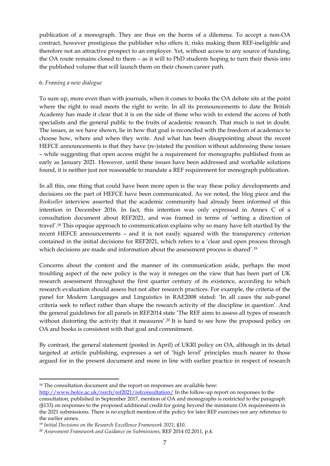publication of a monograph. They are thus on the horns of a dilemma. To accept a non-OA contract, however prestigious the publisher who offers it, risks making them REF-ineligible and therefore not an attractive prospect to an employer. Yet, without access to any source of funding, the OA route remains closed to them – as it will to PhD students hoping to turn their thesis into the published volume that will launch them on their chosen career path.

#### 6. *Framing a new dialogue*

To sum up, more even than with journals, when it comes to books the OA debate sits at the point where the right to read meets the right to write. In all its pronouncements to date the British Academy has made it clear that it is on the side of those who wish to extend the access of both specialists and the general public to the fruits of academic research. That much is not in doubt. The issues, as we have shown, lie in how that goal is reconciled with the freedom of academics to choose how, where and when they write. And what has been disappointing about the recent HEFCE announcements is that they have (re-)stated the position without addressing these issues – while suggesting that open access might be a requirement for monographs published from as early as January 2021. However, until these issues have been addressed and workable solutions found, it is neither just nor reasonable to mandate a REF requirement for monograph publication.

In all this, one thing that could have been more open is the way these policy developments and decisions on the part of HEFCE have been communicated. As we noted, the blog piece and the *Bookseller* interview asserted that the academic community had already been informed of this intention in December 2016. In fact, this intention was only expressed in Annex C of a consultation document about REF2021, and was framed in terms of 'setting a direction of travel'.18 This opaque approach to communication explains why so many have felt startled by the recent HEFCE announcements – and it is not easily squared with the transparency criterion contained in the initial decisions for REF2021, which refers to a 'clear and open process through which decisions are made and information about the assessment process is shared'.19

Concerns about the content and the manner of its communication aside, perhaps the most troubling aspect of the new policy is the way it reneges on the view that has been part of UK research assessment throughout the first quarter century of its existence, according to which research evaluation should assess but not alter research practices. For example, the criteria of the panel for Modern Languages and Linguistics in RAE2008 stated: 'In all cases the sub-panel criteria seek to reflect rather than shape the research activity of the discipline in question'. And the general guidelines for all panels in REF2014 state 'The REF aims to assess all types of research without distorting the activity that it measures'.<sup>20</sup> It is hard to see how the proposed policy on OA and books is consistent with that goal and commitment.

By contrast, the general statement (posted in April) of UKRI policy on OA, although in its detail targeted at article publishing, expresses a set of 'high level' principles much nearer to those argued for in the present document and more in line with earlier practice in respect of research

<sup>&</sup>lt;sup>18</sup> The consultation document and the report on responses are available here:

http://www.hefce.ac.uk/rsrch/ref2021/refconsultation/ In the follow-up report on responses to the consultation, published in September 2017, mention of OA and monographs is restricted to the paragraph (§133) on responses to the proposed additional credit for going beyond the minimum OA requirements in the 2021 submissions. There is no explicit mention of the policy for later REF exercises nor any reference to the earlier annex.

<sup>&</sup>lt;sup>19</sup> Initial Decisions on the Research Excellence Framework 2021, §10.<br><sup>20</sup> Assessment Framework and Guidance on Submissions, REF 2014 02.2011, p.4.